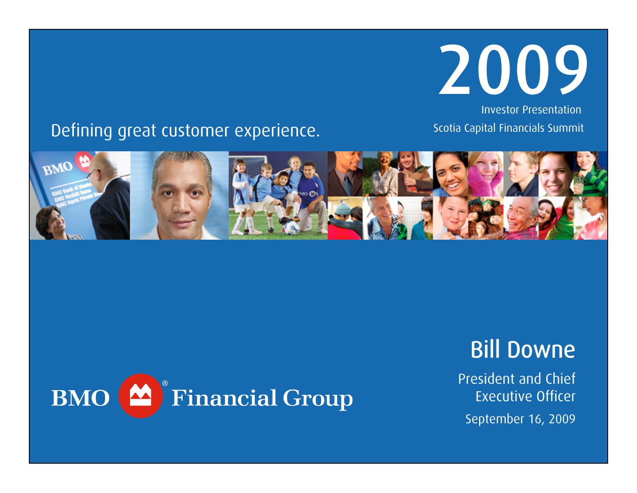Investor Presentation 2009

Scotia Capital Financials Summit

### Defining great customer experience.





Bill Downe

President and Chief Executive Officer September 16, 2009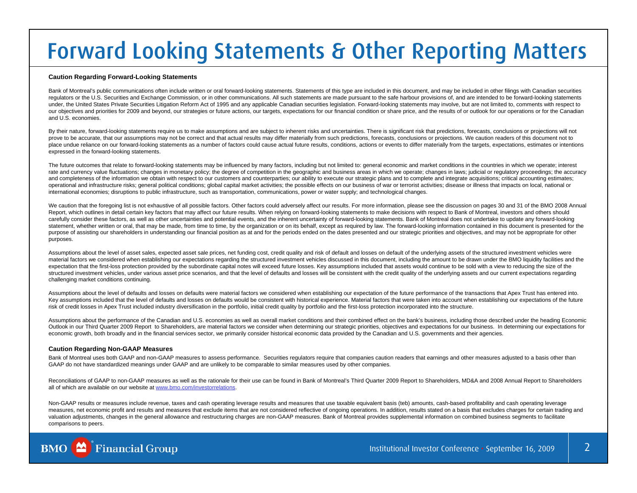# Forward Looking Statements & Other Reporting Matters

#### **Caution Regarding Forward-Looking Statements**

Bank of Montreal's public communications often include written or oral forward-looking statements. Statements of this type are included in this document, and may be included in other filings with Canadian securities regulators or the U.S. Securities and Exchange Commission, or in other communications. All such statements are made pursuant to the safe harbour provisions of, and are intended to be forward-looking statements under, the United States Private Securities Litigation Reform Act of 1995 and any applicable Canadian securities legislation. Forward-looking statements may involve, but are not limited to, comments with respect to our objectives and priorities for 2009 and beyond, our strategies or future actions, our targets, expectations for our financial condition or share price, and the results of or outlook for our operations or for the Canadia and U.S. economies.

By their nature, forward-looking statements require us to make assumptions and are subject to inherent risks and uncertainties. There is significant risk that predictions, forecasts, conclusions or projections will not prove to be accurate, that our assumptions may not be correct and that actual results may differ materially from such predictions, forecasts, conclusions or projections. We caution readers of this document not to place undue reliance on our forward-looking statements as a number of factors could cause actual future results, conditions, actions or events to differ materially from the targets, expectations, estimates or intentions expressed in the forward-looking statements.

The future outcomes that relate to forward-looking statements may be influenced by many factors, including but not limited to: general economic and market conditions in the countries in which we operate; interest rate and currency value fluctuations; changes in monetary policy; the degree of competition in the geographic and business areas in which we operate; changes in laws; judicial or regulatory proceedings; the accuracy and completeness of the information we obtain with respect to our customers and counterparties; our ability to execute our strategic plans and to complete and integrate acquisitions; critical accounting estimates; operational and infrastructure risks; general political conditions; global capital market activities; the possible effects on our business of war or terrorist activities; disease or illness that impacts on local, national or international economies; disruptions to public infrastructure, such as transportation, communications, power or water supply; and technological changes.

We caution that the foregoing list is not exhaustive of all possible factors. Other factors could adversely affect our results. For more information, please see the discussion on pages 30 and 31 of the BMO 2008 Annual Report, which outlines in detail certain key factors that may affect our future results. When relying on forward-looking statements to make decisions with respect to Bank of Montreal, investors and others should carefully consider these factors, as well as other uncertainties and potential events, and the inherent uncertainty of forward-looking statements. Bank of Montreal does not undertake to update any forward-looking statement, whether written or oral, that may be made, from time to time, by the organization or on its behalf, except as required by law. The forward-looking information contained in this document is presented for the purpose of assisting our shareholders in understanding our financial position as at and for the periods ended on the dates presented and our strategic priorities and objectives, and may not be appropriate for other purposes.

Assumptions about the level of asset sales, expected asset sale prices, net funding cost, credit quality and risk of default and losses on default of the underlying assets of the structured investment vehicles were material factors we considered when establishing our expectations regarding the structured investment vehicles discussed in this document, including the amount to be drawn under the BMO liquidity facilities and the expectation that the first-loss protection provided by the subordinate capital notes will exceed future losses. Key assumptions included that assets would continue to be sold with a view to reducing the size of the structured investment vehicles, under various asset price scenarios, and that the level of defaults and losses will be consistent with the credit quality of the underlying assets and our current expectations regarding challenging market conditions continuing.

Assumptions about the level of defaults and losses on defaults were material factors we considered when establishing our expectation of the future performance of the transactions that Apex Trust has entered into. Key assumptions included that the level of defaults and losses on defaults would be consistent with historical experience. Material factors that were taken into account when establishing our expectations of the future risk of credit losses in Apex Trust included industry diversification in the portfolio, initial credit quality by portfolio and the first-loss protection incorporated into the structure.

Assumptions about the performance of the Canadian and U.S. economies as well as overall market conditions and their combined effect on the bank's business, including those described under the heading Economic Outlook in our Third Quarter 2009 Report to Shareholders, are material factors we consider when determining our strategic priorities, objectives and expectations for our business. In determining our expectations for economic growth, both broadly and in the financial services sector, we primarily consider historical economic data provided by the Canadian and U.S. governments and their agencies.

#### **Caution Regarding Non-GAAP Measures**

Bank of Montreal uses both GAAP and non-GAAP measures to assess performance. Securities regulators require that companies caution readers that earnings and other measures adjusted to a basis other than GAAP do not have standardized meanings under GAAP and are unlikely to be comparable to similar measures used by other companies.

Reconciliations of GAAP to non-GAAP measures as well as the rationale for their use can be found in Bank of Montreal's Third Quarter 2009 Report to Shareholders, MD&A and 2008 Annual Report to Shareholders all of which are available on our website at www.bmo.com/investorrelations.

Non-GAAP results or measures include revenue, taxes and cash operating leverage results and measures that use taxable equivalent basis (teb) amounts, cash-based profitability and cash operating leverage measures, net economic profit and results and measures that exclude items that are not considered reflective of ongoing operations. In addition, results stated on a basis that excludes charges for certain trading and valuation adjustments, changes in the general allowance and restructuring charges are non-GAAP measures. Bank of Montreal provides supplemental information on combined business segments to facilitate comparisons to peers.

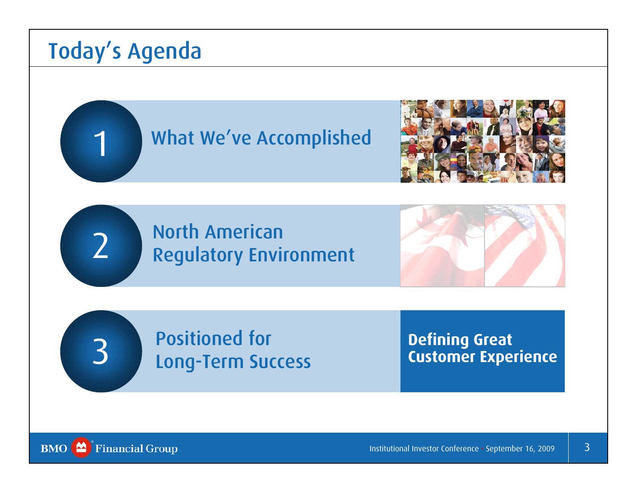

**BMO**  $\triangle$  Financial Group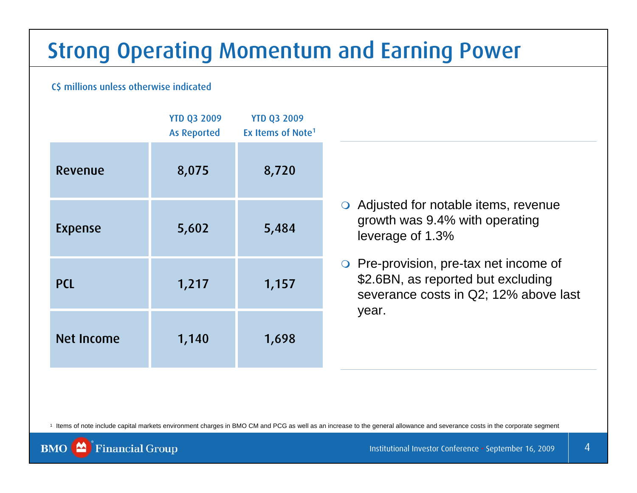### Strong Operating Momentum and Earning Power

#### C\$ millions unless otherwise indicated

|                | <b>YTD Q3 2009</b><br><b>As Reported</b> | <b>YTD Q3 2009</b><br>Ex Items of Note <sup>1</sup> |                                                                                                                                                                                                                                     |
|----------------|------------------------------------------|-----------------------------------------------------|-------------------------------------------------------------------------------------------------------------------------------------------------------------------------------------------------------------------------------------|
| Revenue        | 8,075                                    | 8,720                                               |                                                                                                                                                                                                                                     |
| <b>Expense</b> | 5,602                                    | 5,484                                               | O Adjusted for notable items, revenue<br>growth was 9.4% with operating<br>leverage of 1.3%<br>$\circ$ Pre-provision, pre-tax net income of<br>\$2.6BN, as reported but excluding<br>severance costs in Q2; 12% above last<br>year. |
| <b>PCL</b>     | 1,217                                    | 1,157                                               |                                                                                                                                                                                                                                     |
| Net Income     | 1,140                                    | 1,698                                               |                                                                                                                                                                                                                                     |

1 Items of note include capital markets environment charges in BMO CM and PCG as well as an increase to the general allowance and severance costs in the corporate segment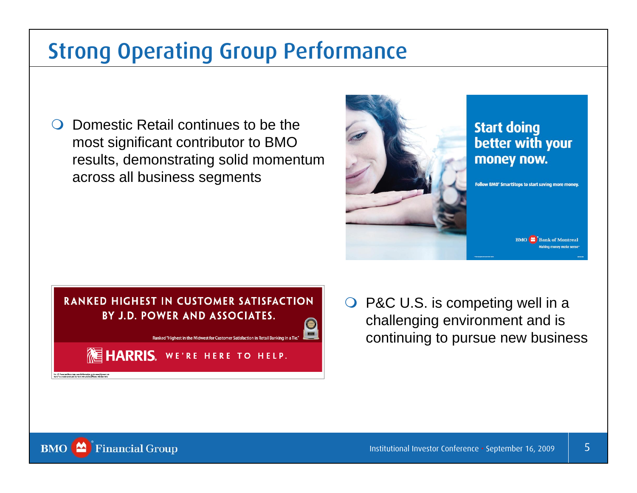### Strong Operating Group Performance

 $\Omega$  Domestic Retail continues to be the most significant contributor to BMO results, demonstrating solid momentum across all business segments



#### **Start doing** better with your money now.

Follow BMO<sup>®</sup> SmartSteps to start saving more money

#### **BMO** Bank of Montreal

### **RANKED HIGHEST IN CUSTOMER SATISFACTION** BY J.D. POWER AND ASSOCIATES.

.<br>Ranked "Highest in the Midwest for Customer Satisfaction in Retail Banking in a Tie.

HARRIS. WE'RE HERE TO HELP.

 P&C U.S. is competing well in a challenging environment and is continuing to pursue new business



ward information, go to www.jdpowwr.com<br>Harris N.A. and its affiliates. Member FCHC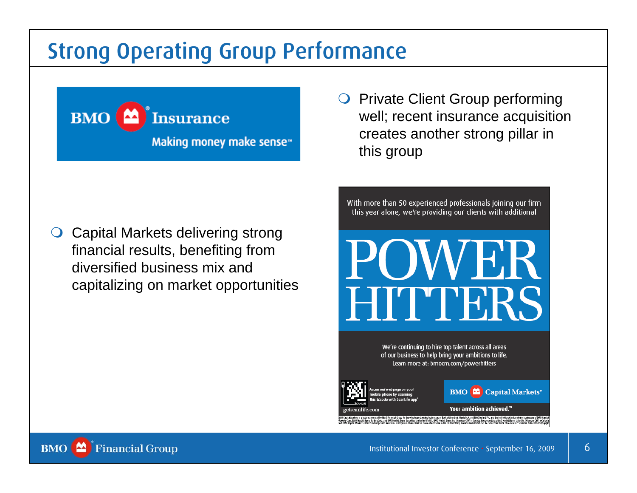### Strong Operating Group Performance



**O** Private Client Group performing well; recent insurance acquisition creates another strong pillar in this group

 $\bigcirc$  Capital Markets delivering strong financial results, benefiting from diversified business mix and capitalizing on market opportunities

**BMO** 

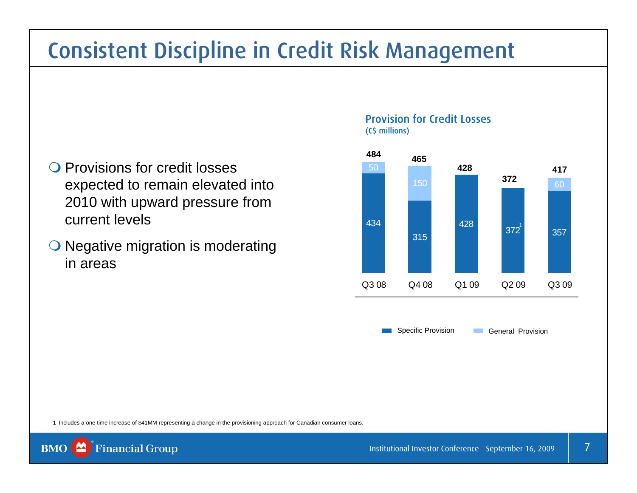# Consistent Discipline in Credit Risk Management

- O Provisions for credit losses expected to remain elevated into 2010 with upward pressure from current levels
- O Negative migration is moderating in areas

#### Provision for Credit Losses (C\$ millions)



 $\sim 10^{-1}$ 

Specific Provision **General Provision** 

1 Includes a one time increase of \$41MM representing a change in the provisioning approach for Canadian consumer loans.

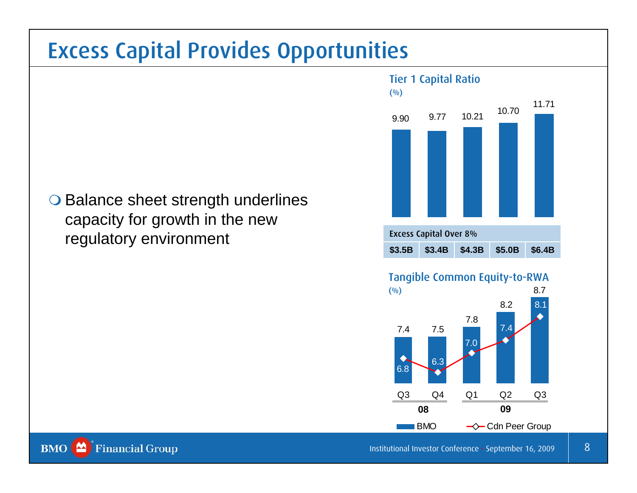### Excess Capital Provides Opportunities

O Balance sheet strength underlines capacity for growth in the new regulatory environment **\$3.5B \$3.4B \$4.3B \$5.0B \$6.4B** Excess Capital Over 8%

**BMO** Financial Group



#### Tangible Common Equity-to-RWA

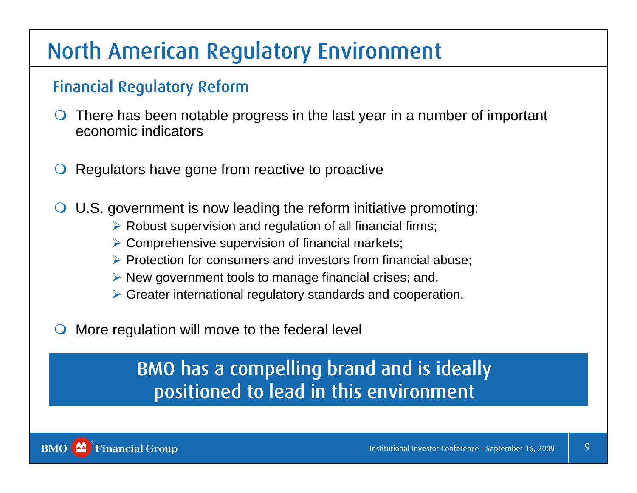### North American Regulatory Environment

#### Financial Regulatory Reform

- $\Omega$  There has been notable progress in the last year in a number of important economic indicators
- $\bigcirc$ Regulators have gone from reactive to proactive
- $\bigcirc$  U.S. government is now leading the reform initiative promoting:
	- $\triangleright$  Robust supervision and regulation of all financial firms;
	- $\triangleright$  Comprehensive supervision of financial markets;
	- ¾ Protection for consumers and investors from financial abuse;
	- ¾ New government tools to manage financial crises; and,
	- ¾ Greater international regulatory standards and cooperation.
- $\bigcirc$ More regulation will move to the federal level

### BMO has a compelling brand and is ideally positioned to lead in this environment

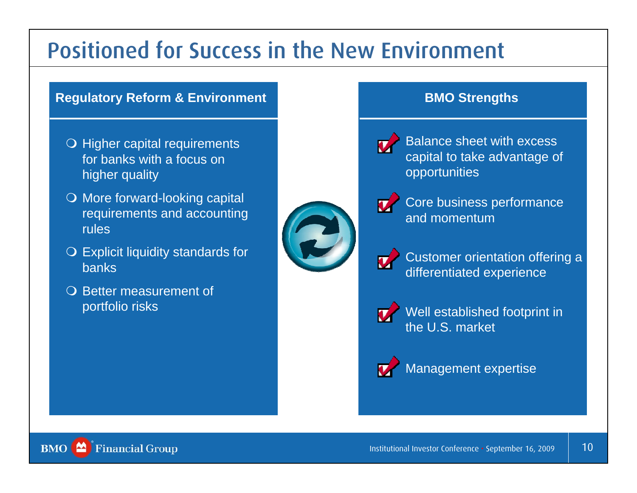# Positioned for Success in the New Environment

#### **Regulatory Reform & Environment**

- $\bigcirc$  Higher capital requirements for banks with a focus on higher quality
- O More forward-looking capital requirements and accounting rules
- $\bigcirc$  Explicit liquidity standards for banks
- O Better measurement of

#### **BMO Strengths**

Balance sheet with excess capital to take advantage of opportunities



Core business performance and momentum



Customer orientation offering a differentiated experience



portfolio risks New York and Table 1 and Table 1 and Table 1 and Table 1 and Table 1 and Table 1 and Table 1 and Table 1 and Table 1 and Table 1 and Table 1 and Table 1 and Table 1 and Table 1 and Table 1 and Table 1 and T the U.S. market



**Management expertise** 

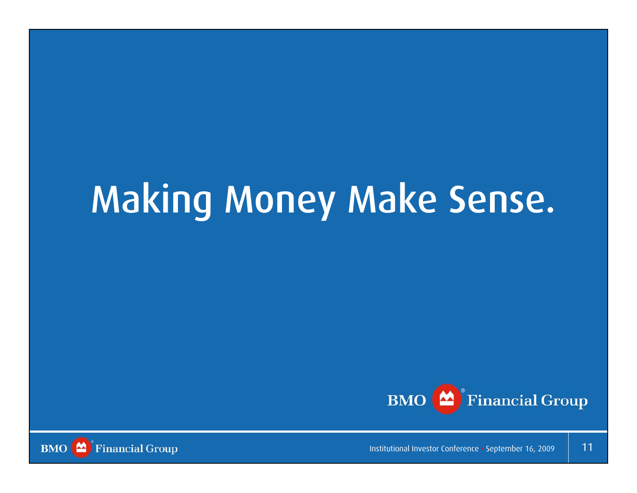# Making Money Make Sense.





Institutional Investor Conference  $\cdot$  September 16, 2009  $\hskip1em -| \hskip1em -1$   $\hskip1em 1$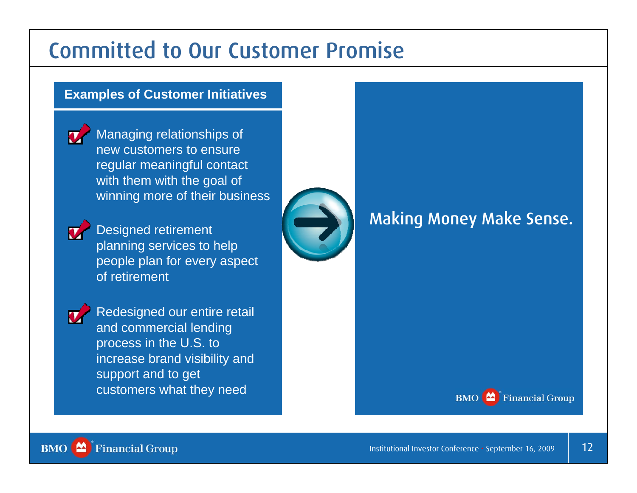### Committed to Our Customer Promise

#### **Examples of Customer Initiatives**

Managing relationships of new customers to ensure regular meaningful contact with them with the goal of winning more of their business



Designed retirement planning services to help people plan for every aspect of retirement



Redesigned our entire retail and commercial lending process in the U.S. to increase brand visibility and support and to get customers what they need



#### Making Money Make Sense.



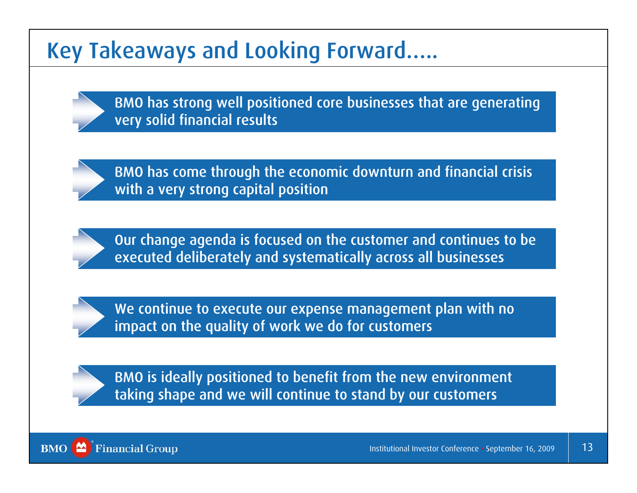# Key Takeaways and Looking Forward…..

BMO has strong well positioned core businesses that are generating very solid financial results



BMO has come through the economic downturn and financial crisis with a very strong capital position

Our change agenda is focused on the customer and continues to be executed deliberately and systematically across all businesses

We continue to execute our expense management plan with no impact on the quality of work we do for customers

BMO is ideally positioned to benefit from the new environment taking shape and we will continue to stand by our customers

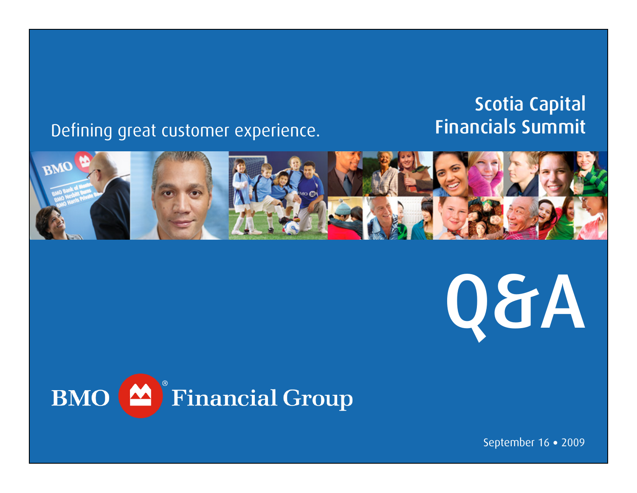### Defining great customer experience.

### Scotia Capital Financials Summit



Q&A



September 16 • 2009